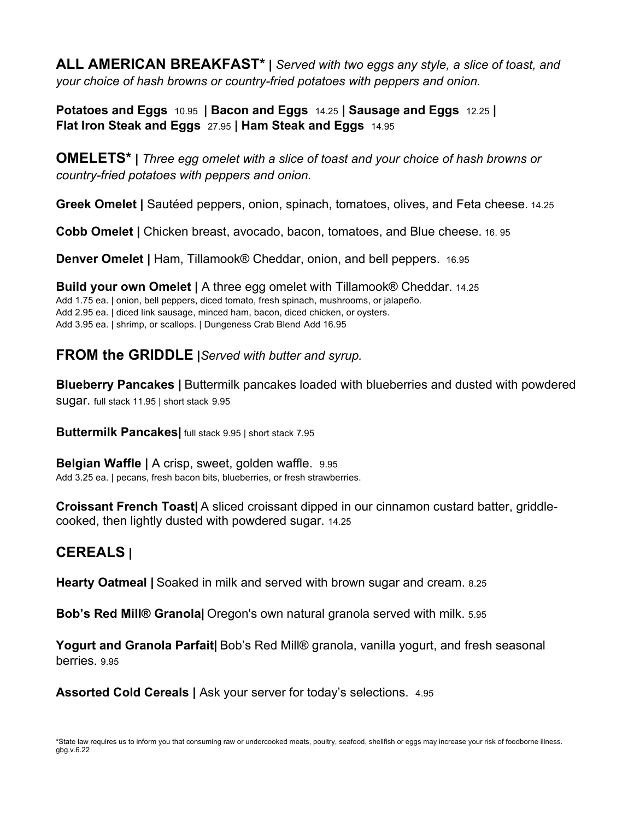**ALL AMERICAN BREAKFAST\* |** *Served with two eggs any style, a slice of toast, and your choice of hash browns or country-fried potatoes with peppers and onion.*

**Potatoes and Eggs** 10.95 **| Bacon and Eggs** 14.25 **| Sausage and Eggs** 12.25 **| Flat Iron Steak and Eggs** 27.95 **| Ham Steak and Eggs** 14.95

**OMELETS\* |** *Three egg omelet with a slice of toast and your choice of hash browns or country-fried potatoes with peppers and onion.* 

**Greek Omelet |** Sautéed peppers, onion, spinach, tomatoes, olives, and Feta cheese. 14.25

**Cobb Omelet |** Chicken breast, avocado, bacon, tomatoes, and Blue cheese. 16. 95

**Denver Omelet |** Ham, Tillamook® Cheddar, onion, and bell peppers. 16.95

**Build your own Omelet |** A three egg omelet with Tillamook® Cheddar. 14.25 Add 1.75 ea. | onion, bell peppers, diced tomato, fresh spinach, mushrooms, or jalapeño. Add 2.95 ea. | diced link sausage, minced ham, bacon, diced chicken, or oysters. Add 3.95 ea. | shrimp, or scallops. | Dungeness Crab Blend Add 16.95

#### **FROM the GRIDDLE |***Served with butter and syrup.*

**Blueberry Pancakes |** Buttermilk pancakes loaded with blueberries and dusted with powdered sugar. full stack 11.95 | short stack 9.95

**Buttermilk Pancakes|** full stack 9.95 | short stack 7.95

**Belgian Waffle |** A crisp, sweet, golden waffle. 9.95 Add 3.25 ea. | pecans, fresh bacon bits, blueberries, or fresh strawberries.

**Croissant French Toast|** A sliced croissant dipped in our cinnamon custard batter, griddlecooked, then lightly dusted with powdered sugar. 14.25

## **CEREALS |**

**Hearty Oatmeal |** Soaked in milk and served with brown sugar and cream. 8.25

**Bob's Red Mill® Granola|** Oregon's own natural granola served with milk. 5.95

**Yogurt and Granola Parfait|** Bob's Red Mill® granola, vanilla yogurt, and fresh seasonal berries. 9.95

**Assorted Cold Cereals |** Ask your server for today's selections. 4.95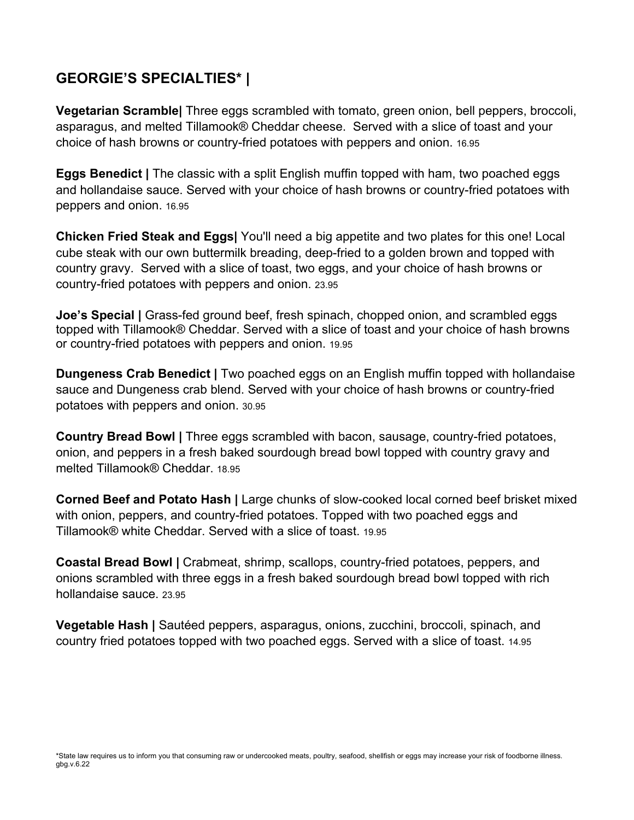# **GEORGIE'S SPECIALTIES\* |**

**Vegetarian Scramble|** Three eggs scrambled with tomato, green onion, bell peppers, broccoli, asparagus, and melted Tillamook® Cheddar cheese. Served with a slice of toast and your choice of hash browns or country-fried potatoes with peppers and onion. 16.95

**Eggs Benedict |** The classic with a split English muffin topped with ham, two poached eggs and hollandaise sauce. Served with your choice of hash browns or country-fried potatoes with peppers and onion. 16.95

**Chicken Fried Steak and Eggs|** You'll need a big appetite and two plates for this one! Local cube steak with our own buttermilk breading, deep-fried to a golden brown and topped with country gravy. Served with a slice of toast, two eggs, and your choice of hash browns or country-fried potatoes with peppers and onion. 23.95

**Joe's Special | Grass-fed ground beef, fresh spinach, chopped onion, and scrambled eggs** topped with Tillamook® Cheddar. Served with a slice of toast and your choice of hash browns or country-fried potatoes with peppers and onion. 19.95

**Dungeness Crab Benedict |** Two poached eggs on an English muffin topped with hollandaise sauce and Dungeness crab blend. Served with your choice of hash browns or country-fried potatoes with peppers and onion. 30.95

**Country Bread Bowl |** Three eggs scrambled with bacon, sausage, country-fried potatoes, onion, and peppers in a fresh baked sourdough bread bowl topped with country gravy and melted Tillamook® Cheddar. 18.95

**Corned Beef and Potato Hash |** Large chunks of slow-cooked local corned beef brisket mixed with onion, peppers, and country-fried potatoes. Topped with two poached eggs and Tillamook® white Cheddar. Served with a slice of toast. 19.95

**Coastal Bread Bowl |** Crabmeat, shrimp, scallops, country-fried potatoes, peppers, and onions scrambled with three eggs in a fresh baked sourdough bread bowl topped with rich hollandaise sauce. 23.95

**Vegetable Hash |** Sautéed peppers, asparagus, onions, zucchini, broccoli, spinach, and country fried potatoes topped with two poached eggs. Served with a slice of toast. 14.95